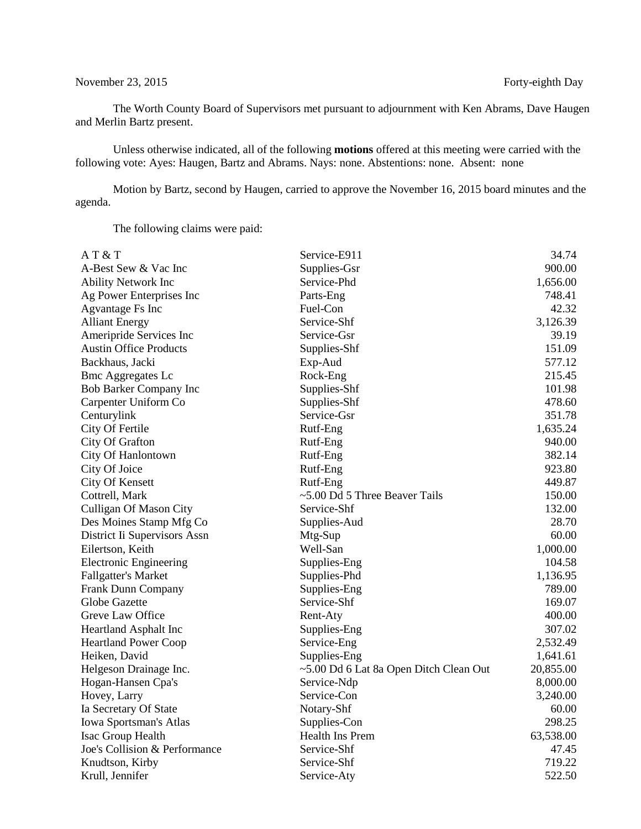## November 23, 2015 Forty-eighth Day

The Worth County Board of Supervisors met pursuant to adjournment with Ken Abrams, Dave Haugen and Merlin Bartz present.

Unless otherwise indicated, all of the following **motions** offered at this meeting were carried with the following vote: Ayes: Haugen, Bartz and Abrams. Nays: none. Abstentions: none. Absent: none

Motion by Bartz, second by Haugen, carried to approve the November 16, 2015 board minutes and the agenda.

The following claims were paid:

| AT&T                          | Service-E911                           | 34.74     |
|-------------------------------|----------------------------------------|-----------|
| A-Best Sew & Vac Inc          | Supplies-Gsr                           | 900.00    |
| <b>Ability Network Inc</b>    | Service-Phd                            | 1,656.00  |
| Ag Power Enterprises Inc      | Parts-Eng                              | 748.41    |
| <b>Agvantage Fs Inc</b>       | Fuel-Con                               | 42.32     |
| <b>Alliant Energy</b>         | Service-Shf                            | 3,126.39  |
| Ameripride Services Inc       | Service-Gsr                            | 39.19     |
| <b>Austin Office Products</b> | Supplies-Shf                           | 151.09    |
| Backhaus, Jacki               | Exp-Aud                                | 577.12    |
| <b>Bmc Aggregates Lc</b>      | Rock-Eng                               | 215.45    |
| <b>Bob Barker Company Inc</b> | Supplies-Shf                           | 101.98    |
| Carpenter Uniform Co          | Supplies-Shf                           | 478.60    |
| Centurylink                   | Service-Gsr                            | 351.78    |
| City Of Fertile               | Rutf-Eng                               | 1,635.24  |
| City Of Grafton               | Rutf-Eng                               | 940.00    |
| City Of Hanlontown            | Rutf-Eng                               | 382.14    |
| City Of Joice                 | Rutf-Eng                               | 923.80    |
| City Of Kensett               | Rutf-Eng                               | 449.87    |
| Cottrell, Mark                | ~5.00 Dd 5 Three Beaver Tails          | 150.00    |
| Culligan Of Mason City        | Service-Shf                            | 132.00    |
| Des Moines Stamp Mfg Co       | Supplies-Aud                           | 28.70     |
| District Ii Supervisors Assn  | Mtg-Sup                                | 60.00     |
| Eilertson, Keith              | Well-San                               | 1,000.00  |
| <b>Electronic Engineering</b> | Supplies-Eng                           | 104.58    |
| <b>Fallgatter's Market</b>    | Supplies-Phd                           | 1,136.95  |
| Frank Dunn Company            | Supplies-Eng                           | 789.00    |
| Globe Gazette                 | Service-Shf                            | 169.07    |
| Greve Law Office              | Rent-Aty                               | 400.00    |
| Heartland Asphalt Inc         | Supplies-Eng                           | 307.02    |
| <b>Heartland Power Coop</b>   | Service-Eng                            | 2,532.49  |
| Heiken, David                 | Supplies-Eng                           | 1,641.61  |
| Helgeson Drainage Inc.        | ~5.00 Dd 6 Lat 8a Open Ditch Clean Out | 20,855.00 |
| Hogan-Hansen Cpa's            | Service-Ndp                            | 8,000.00  |
| Hovey, Larry                  | Service-Con                            | 3,240.00  |
| Ia Secretary Of State         | Notary-Shf                             | 60.00     |
| Iowa Sportsman's Atlas        | Supplies-Con                           | 298.25    |
| Isac Group Health             | Health Ins Prem                        | 63,538.00 |
| Joe's Collision & Performance | Service-Shf                            | 47.45     |
| Knudtson, Kirby               | Service-Shf                            | 719.22    |
| Krull, Jennifer               | Service-Aty                            | 522.50    |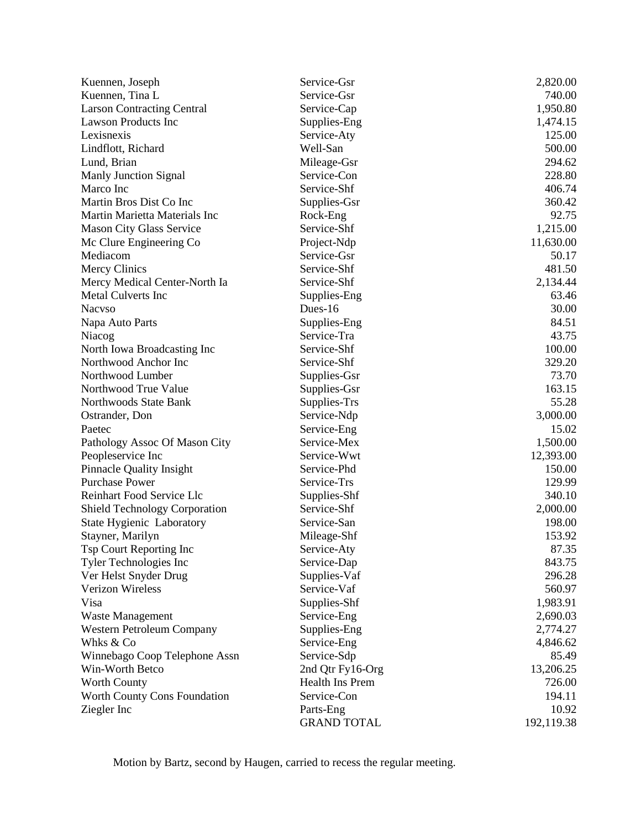| Kuennen, Joseph                      | Service-Gsr        | 2,820.00   |
|--------------------------------------|--------------------|------------|
| Kuennen, Tina L                      | Service-Gsr        | 740.00     |
| <b>Larson Contracting Central</b>    | Service-Cap        | 1,950.80   |
| <b>Lawson Products Inc</b>           | Supplies-Eng       | 1,474.15   |
| Lexisnexis                           | Service-Aty        | 125.00     |
| Lindflott, Richard                   | Well-San           | 500.00     |
| Lund, Brian                          | Mileage-Gsr        | 294.62     |
| Manly Junction Signal                | Service-Con        | 228.80     |
| Marco Inc                            | Service-Shf        | 406.74     |
| Martin Bros Dist Co Inc              | Supplies-Gsr       | 360.42     |
| Martin Marietta Materials Inc        | Rock-Eng           | 92.75      |
| Mason City Glass Service             | Service-Shf        | 1,215.00   |
| Mc Clure Engineering Co              | Project-Ndp        | 11,630.00  |
| Mediacom                             | Service-Gsr        | 50.17      |
| Mercy Clinics                        | Service-Shf        | 481.50     |
| Mercy Medical Center-North Ia        | Service-Shf        | 2,134.44   |
| <b>Metal Culverts Inc</b>            | Supplies-Eng       | 63.46      |
| <b>Nacyso</b>                        | Dues- $16$         | 30.00      |
| Napa Auto Parts                      | Supplies-Eng       | 84.51      |
| Niacog                               | Service-Tra        | 43.75      |
| North Iowa Broadcasting Inc          | Service-Shf        | 100.00     |
| Northwood Anchor Inc                 | Service-Shf        | 329.20     |
| Northwood Lumber                     | Supplies-Gsr       | 73.70      |
| Northwood True Value                 | Supplies-Gsr       | 163.15     |
| Northwoods State Bank                | Supplies-Trs       | 55.28      |
| Ostrander, Don                       | Service-Ndp        | 3,000.00   |
| Paetec                               | Service-Eng        | 15.02      |
| Pathology Assoc Of Mason City        | Service-Mex        | 1,500.00   |
| Peopleservice Inc                    | Service-Wwt        | 12,393.00  |
| <b>Pinnacle Quality Insight</b>      | Service-Phd        | 150.00     |
| <b>Purchase Power</b>                | Service-Trs        | 129.99     |
| Reinhart Food Service Llc            | Supplies-Shf       | 340.10     |
| <b>Shield Technology Corporation</b> | Service-Shf        | 2,000.00   |
| State Hygienic Laboratory            | Service-San        | 198.00     |
| Stayner, Marilyn                     | Mileage-Shf        | 153.92     |
| Tsp Court Reporting Inc              | Service-Aty        | 87.35      |
| Tyler Technologies Inc               | Service-Dap        | 843.75     |
| Ver Helst Snyder Drug                | Supplies-Vaf       | 296.28     |
| <b>Verizon Wireless</b>              | Service-Vaf        | 560.97     |
| Visa                                 | Supplies-Shf       | 1,983.91   |
| Waste Management                     | Service-Eng        | 2,690.03   |
| Western Petroleum Company            | Supplies-Eng       | 2,774.27   |
| Whks & Co                            | Service-Eng        | 4,846.62   |
| Winnebago Coop Telephone Assn        | Service-Sdp        | 85.49      |
| Win-Worth Betco                      | 2nd Qtr Fy16-Org   | 13,206.25  |
| <b>Worth County</b>                  | Health Ins Prem    | 726.00     |
| <b>Worth County Cons Foundation</b>  | Service-Con        | 194.11     |
| Ziegler Inc                          | Parts-Eng          | 10.92      |
|                                      | <b>GRAND TOTAL</b> | 192,119.38 |

Motion by Bartz, second by Haugen, carried to recess the regular meeting.